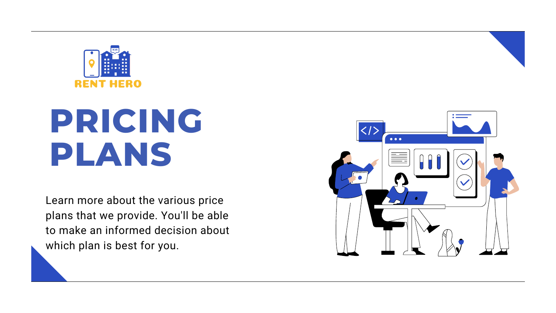Learn more about the various price plans that we provide. You'll be able to make an informed decision about which plan is best for you.





## **PRICING PLANS**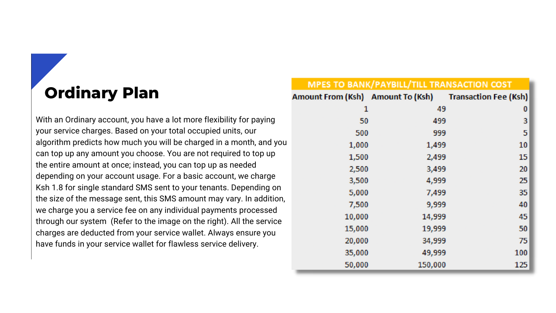### **Ordinary Plan**

With an Ordinary account, you have a lot more flexibility for paying your service charges. Based on your total occupied units, our algorithm predicts how much you will be charged in a month, and you can top up any amount you choose. You are not required to top up the entire amount at once; instead, you can top up as needed depending on your account usage. For a basic account, we charge Ksh 1.8 for single standard SMS sent to your tenants. Depending on the size of the message sent, this SMS amount may vary. In addition, we charge you a service fee on any individual payments processed through our system (Refer to the image on the right). All the service charges are deducted from your service wallet. Always ensure you have funds in your service wallet for flawless service delivery.

#### **MPES TO Amount From**

| <b>BANK/PAYBILL/TILL TRANSACTION COST</b> |         |                                            |  |  |
|-------------------------------------------|---------|--------------------------------------------|--|--|
|                                           |         | Ksh) Amount To (Ksh) Transaction Fee (Ksh) |  |  |
| 1                                         | 49      | 0                                          |  |  |
| 50                                        | 499     | 3                                          |  |  |
| 500                                       | 999     | 5                                          |  |  |
| 1,000                                     | 1,499   | 10                                         |  |  |
| 1,500                                     | 2,499   | 15                                         |  |  |
| 2,500                                     | 3,499   | 20                                         |  |  |
| 3,500                                     | 4,999   | 25                                         |  |  |
| 5,000                                     | 7,499   | 35                                         |  |  |
| 7,500                                     | 9,999   | 40                                         |  |  |
| LO,000                                    | 14,999  | 45                                         |  |  |
| L5,000                                    | 19,999  | 50                                         |  |  |
| 20,000                                    | 34,999  | 75                                         |  |  |
| 35,000                                    | 49,999  | 100                                        |  |  |
| 50,000                                    | 150,000 | 125                                        |  |  |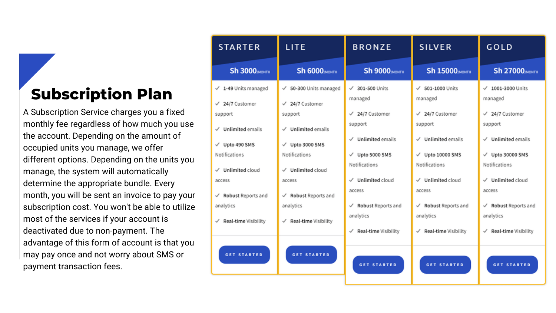#### **Subscription Plan**

A Subscription Service charges you a fixed monthly fee regardless of how much you use the account. Depending on the amount of occupied units you manage, we offer different options. Depending on the units you manage, the system will automatically determine the appropriate bundle. Every month, you will be sent an invoice to pay your subscription cost. You won't be able to utilize most of the services if your account is deactivated due to non-payment. The advantage of this form of account is that you may pay once and not worry about SMS or payment transaction fees.



| <b>BRONZE</b>                                | <b>SILVER</b>                                     | GOLD                                    |
|----------------------------------------------|---------------------------------------------------|-----------------------------------------|
| <b>Sh 9000</b> MONTH                         | <b>Sh 15000</b> (MONTH                            | <b>Sh 27000</b> MONTH                   |
| $\checkmark$ 301-500 Units<br>managed        | 501-1000 Units<br>managed                         | $\checkmark$ 1001-3000 Units<br>managed |
| $\checkmark$ 24/7 Customer<br>support        | $\checkmark$ 24/7 Customer<br>support             | $\checkmark$ 24/7 Customer<br>support   |
| $\checkmark$ Unlimited emails                | <b>Unlimited emails</b><br>J                      | $\checkmark$ Unlimited emails           |
| $\checkmark$ Upto 5000 SMS<br>Notifications  | Upto 10000 SMS<br>Notifications                   | √ Upto 30000 SMS<br>Notifications       |
| $\checkmark$ Unlimited cloud<br>access       | <b>Unlimited cloud</b><br>$\mathcal{A}$<br>access | $\checkmark$ Unlimited cloud<br>access  |
| $\checkmark$ Robust Reports and<br>analytics | √ Robust Reports and<br>analytics                 | <b>Robust Reports and</b><br>analytics  |
| Real-time Visibility                         | Real-time Visibility                              | Real-time Visibility                    |
| <b>GET STARTED</b>                           | <b>GET STARTED</b>                                | <b>GET STARTED</b>                      |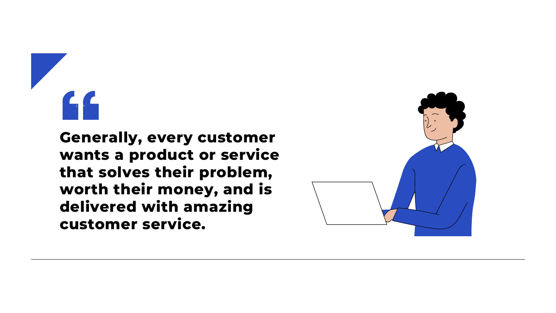

#### **Generally, every customer wants a product or service that solves their problem, worth their money, and is delivered with amazing customer service.**